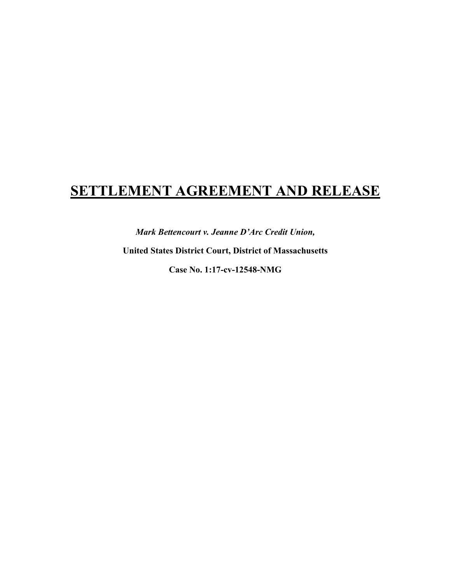# **SETTLEMENT AGREEMENT AND RELEASE**

*Mark Bettencourt v. Jeanne D'Arc Credit Union,* 

**United States District Court, District of Massachusetts**

**Case No. 1:17-cv-12548-NMG**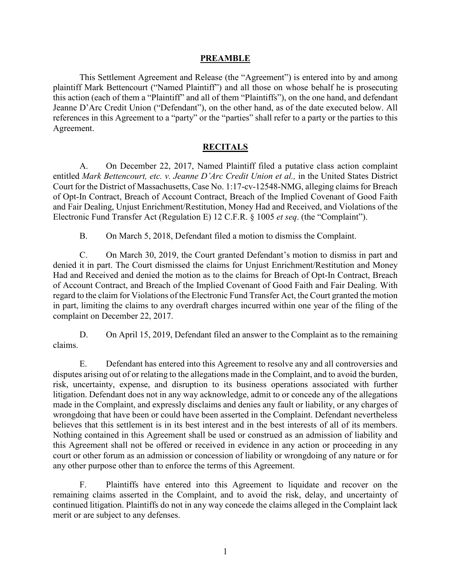#### **PREAMBLE**

This Settlement Agreement and Release (the "Agreement") is entered into by and among plaintiff Mark Bettencourt ("Named Plaintiff") and all those on whose behalf he is prosecuting this action (each of them a "Plaintiff" and all of them "Plaintiffs"), on the one hand, and defendant Jeanne D'Arc Credit Union ("Defendant"), on the other hand, as of the date executed below. All references in this Agreement to a "party" or the "parties" shall refer to a party or the parties to this Agreement.

#### **RECITALS**

A. On December 22, 2017, Named Plaintiff filed a putative class action complaint entitled *Mark Bettencourt, etc. v. Jeanne D'Arc Credit Union et al., in the United States District* Court for the District of Massachusetts, Case No. 1:17-cv-12548-NMG, alleging claims for Breach of Opt-In Contract, Breach of Account Contract, Breach of the Implied Covenant of Good Faith and Fair Dealing, Unjust Enrichment/Restitution, Money Had and Received, and Violations of the Electronic Fund Transfer Act (Regulation E) 12 C.F.R. § 1005 *et seq*. (the "Complaint").

B. On March 5, 2018, Defendant filed a motion to dismiss the Complaint.

C. On March 30, 2019, the Court granted Defendant's motion to dismiss in part and denied it in part. The Court dismissed the claims for Unjust Enrichment/Restitution and Money Had and Received and denied the motion as to the claims for Breach of Opt-In Contract, Breach of Account Contract, and Breach of the Implied Covenant of Good Faith and Fair Dealing. With regard to the claim for Violations of the Electronic Fund Transfer Act, the Court granted the motion in part, limiting the claims to any overdraft charges incurred within one year of the filing of the complaint on December 22, 2017.

D. On April 15, 2019, Defendant filed an answer to the Complaint as to the remaining claims.

E. Defendant has entered into this Agreement to resolve any and all controversies and disputes arising out of or relating to the allegations made in the Complaint, and to avoid the burden, risk, uncertainty, expense, and disruption to its business operations associated with further litigation. Defendant does not in any way acknowledge, admit to or concede any of the allegations made in the Complaint, and expressly disclaims and denies any fault or liability, or any charges of wrongdoing that have been or could have been asserted in the Complaint. Defendant nevertheless believes that this settlement is in its best interest and in the best interests of all of its members. Nothing contained in this Agreement shall be used or construed as an admission of liability and this Agreement shall not be offered or received in evidence in any action or proceeding in any court or other forum as an admission or concession of liability or wrongdoing of any nature or for any other purpose other than to enforce the terms of this Agreement.

F. Plaintiffs have entered into this Agreement to liquidate and recover on the remaining claims asserted in the Complaint, and to avoid the risk, delay, and uncertainty of continued litigation. Plaintiffs do not in any way concede the claims alleged in the Complaint lack merit or are subject to any defenses.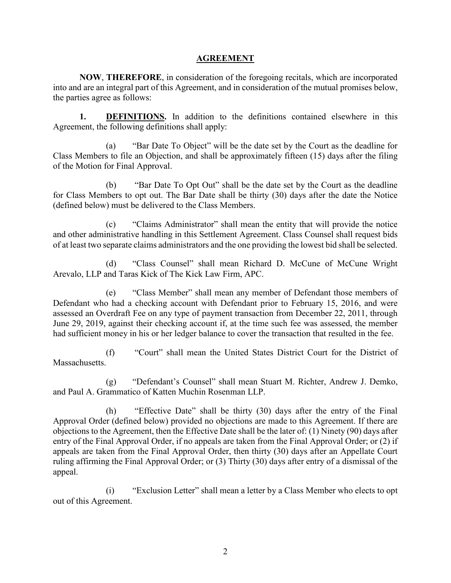#### **AGREEMENT**

**NOW**, **THEREFORE**, in consideration of the foregoing recitals, which are incorporated into and are an integral part of this Agreement, and in consideration of the mutual promises below, the parties agree as follows:

**1. DEFINITIONS.** In addition to the definitions contained elsewhere in this Agreement, the following definitions shall apply:

(a) "Bar Date To Object" will be the date set by the Court as the deadline for Class Members to file an Objection, and shall be approximately fifteen (15) days after the filing of the Motion for Final Approval.

(b) "Bar Date To Opt Out" shall be the date set by the Court as the deadline for Class Members to opt out. The Bar Date shall be thirty (30) days after the date the Notice (defined below) must be delivered to the Class Members.

(c) "Claims Administrator" shall mean the entity that will provide the notice and other administrative handling in this Settlement Agreement. Class Counsel shall request bids of at least two separate claims administrators and the one providing the lowest bid shall be selected.

(d) "Class Counsel" shall mean Richard D. McCune of McCune Wright Arevalo, LLP and Taras Kick of The Kick Law Firm, APC.

(e) "Class Member" shall mean any member of Defendant those members of Defendant who had a checking account with Defendant prior to February 15, 2016, and were assessed an Overdraft Fee on any type of payment transaction from December 22, 2011, through June 29, 2019, against their checking account if, at the time such fee was assessed, the member had sufficient money in his or her ledger balance to cover the transaction that resulted in the fee.

(f) "Court" shall mean the United States District Court for the District of Massachusetts.

(g) "Defendant's Counsel" shall mean Stuart M. Richter, Andrew J. Demko, and Paul A. Grammatico of Katten Muchin Rosenman LLP.

(h) "Effective Date" shall be thirty (30) days after the entry of the Final Approval Order (defined below) provided no objections are made to this Agreement. If there are objections to the Agreement, then the Effective Date shall be the later of: (1) Ninety (90) days after entry of the Final Approval Order, if no appeals are taken from the Final Approval Order; or (2) if appeals are taken from the Final Approval Order, then thirty (30) days after an Appellate Court ruling affirming the Final Approval Order; or (3) Thirty (30) days after entry of a dismissal of the appeal.

(i) "Exclusion Letter" shall mean a letter by a Class Member who elects to opt out of this Agreement.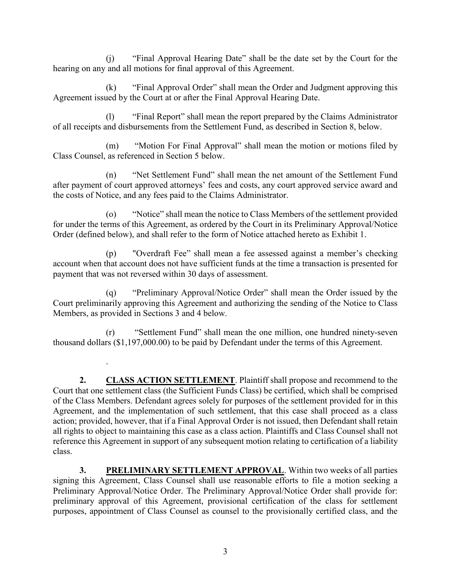(j) "Final Approval Hearing Date" shall be the date set by the Court for the hearing on any and all motions for final approval of this Agreement.

(k) "Final Approval Order" shall mean the Order and Judgment approving this Agreement issued by the Court at or after the Final Approval Hearing Date.

(l) "Final Report" shall mean the report prepared by the Claims Administrator of all receipts and disbursements from the Settlement Fund, as described in Section 8, below.

(m) "Motion For Final Approval" shall mean the motion or motions filed by Class Counsel, as referenced in Section 5 below.

(n) "Net Settlement Fund" shall mean the net amount of the Settlement Fund after payment of court approved attorneys' fees and costs, any court approved service award and the costs of Notice, and any fees paid to the Claims Administrator.

(o) "Notice" shall mean the notice to Class Members of the settlement provided for under the terms of this Agreement, as ordered by the Court in its Preliminary Approval/Notice Order (defined below), and shall refer to the form of Notice attached hereto as Exhibit 1.

(p) "Overdraft Fee" shall mean a fee assessed against a member's checking account when that account does not have sufficient funds at the time a transaction is presented for payment that was not reversed within 30 days of assessment.

"Preliminary Approval/Notice Order" shall mean the Order issued by the Court preliminarily approving this Agreement and authorizing the sending of the Notice to Class Members, as provided in Sections 3 and 4 below.

(r) "Settlement Fund" shall mean the one million, one hundred ninety-seven thousand dollars (\$1,197,000.00) to be paid by Defendant under the terms of this Agreement.

.

**2. CLASS ACTION SETTLEMENT**. Plaintiff shall propose and recommend to the Court that one settlement class (the Sufficient Funds Class) be certified, which shall be comprised of the Class Members. Defendant agrees solely for purposes of the settlement provided for in this Agreement, and the implementation of such settlement, that this case shall proceed as a class action; provided, however, that if a Final Approval Order is not issued, then Defendant shall retain all rights to object to maintaining this case as a class action. Plaintiffs and Class Counsel shall not reference this Agreement in support of any subsequent motion relating to certification of a liability class.

**3. PRELIMINARY SETTLEMENT APPROVAL**. Within two weeks of all parties signing this Agreement, Class Counsel shall use reasonable efforts to file a motion seeking a Preliminary Approval/Notice Order. The Preliminary Approval/Notice Order shall provide for: preliminary approval of this Agreement, provisional certification of the class for settlement purposes, appointment of Class Counsel as counsel to the provisionally certified class, and the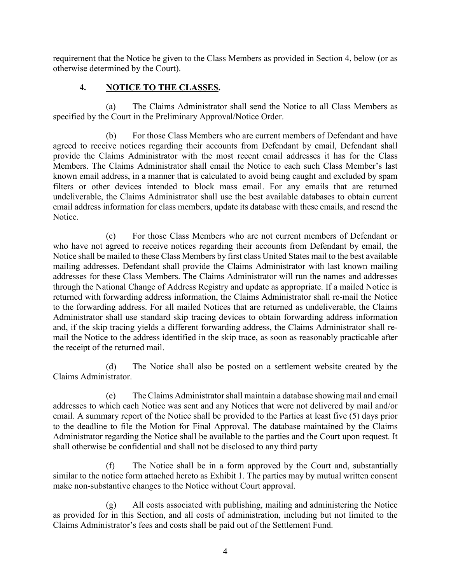requirement that the Notice be given to the Class Members as provided in Section 4, below (or as otherwise determined by the Court).

## **4. NOTICE TO THE CLASSES.**

(a) The Claims Administrator shall send the Notice to all Class Members as specified by the Court in the Preliminary Approval/Notice Order.

(b) For those Class Members who are current members of Defendant and have agreed to receive notices regarding their accounts from Defendant by email, Defendant shall provide the Claims Administrator with the most recent email addresses it has for the Class Members. The Claims Administrator shall email the Notice to each such Class Member's last known email address, in a manner that is calculated to avoid being caught and excluded by spam filters or other devices intended to block mass email. For any emails that are returned undeliverable, the Claims Administrator shall use the best available databases to obtain current email address information for class members, update its database with these emails, and resend the Notice.

(c) For those Class Members who are not current members of Defendant or who have not agreed to receive notices regarding their accounts from Defendant by email, the Notice shall be mailed to these Class Members by first class United States mail to the best available mailing addresses. Defendant shall provide the Claims Administrator with last known mailing addresses for these Class Members. The Claims Administrator will run the names and addresses through the National Change of Address Registry and update as appropriate. If a mailed Notice is returned with forwarding address information, the Claims Administrator shall re-mail the Notice to the forwarding address. For all mailed Notices that are returned as undeliverable, the Claims Administrator shall use standard skip tracing devices to obtain forwarding address information and, if the skip tracing yields a different forwarding address, the Claims Administrator shall remail the Notice to the address identified in the skip trace, as soon as reasonably practicable after the receipt of the returned mail.

(d) The Notice shall also be posted on a settlement website created by the Claims Administrator.

(e) The Claims Administrator shall maintain a database showing mail and email addresses to which each Notice was sent and any Notices that were not delivered by mail and/or email. A summary report of the Notice shall be provided to the Parties at least five (5) days prior to the deadline to file the Motion for Final Approval. The database maintained by the Claims Administrator regarding the Notice shall be available to the parties and the Court upon request. It shall otherwise be confidential and shall not be disclosed to any third party

(f) The Notice shall be in a form approved by the Court and, substantially similar to the notice form attached hereto as Exhibit 1. The parties may by mutual written consent make non-substantive changes to the Notice without Court approval.

(g) All costs associated with publishing, mailing and administering the Notice as provided for in this Section, and all costs of administration, including but not limited to the Claims Administrator's fees and costs shall be paid out of the Settlement Fund.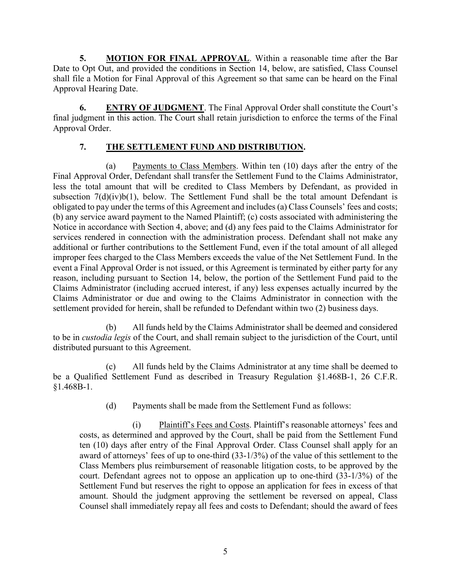**5. MOTION FOR FINAL APPROVAL**. Within a reasonable time after the Bar Date to Opt Out, and provided the conditions in Section 14, below, are satisfied, Class Counsel shall file a Motion for Final Approval of this Agreement so that same can be heard on the Final Approval Hearing Date.

**6. ENTRY OF JUDGMENT**. The Final Approval Order shall constitute the Court's final judgment in this action. The Court shall retain jurisdiction to enforce the terms of the Final Approval Order.

## **7. THE SETTLEMENT FUND AND DISTRIBUTION.**

(a) Payments to Class Members. Within ten (10) days after the entry of the Final Approval Order, Defendant shall transfer the Settlement Fund to the Claims Administrator, less the total amount that will be credited to Class Members by Defendant, as provided in subsection  $7(d)(iv)b(1)$ , below. The Settlement Fund shall be the total amount Defendant is obligated to pay under the terms of this Agreement and includes (a) Class Counsels' fees and costs; (b) any service award payment to the Named Plaintiff; (c) costs associated with administering the Notice in accordance with Section 4, above; and (d) any fees paid to the Claims Administrator for services rendered in connection with the administration process. Defendant shall not make any additional or further contributions to the Settlement Fund, even if the total amount of all alleged improper fees charged to the Class Members exceeds the value of the Net Settlement Fund. In the event a Final Approval Order is not issued, or this Agreement is terminated by either party for any reason, including pursuant to Section 14, below, the portion of the Settlement Fund paid to the Claims Administrator (including accrued interest, if any) less expenses actually incurred by the Claims Administrator or due and owing to the Claims Administrator in connection with the settlement provided for herein, shall be refunded to Defendant within two (2) business days.

(b) All funds held by the Claims Administrator shall be deemed and considered to be in *custodia legis* of the Court, and shall remain subject to the jurisdiction of the Court, until distributed pursuant to this Agreement.

(c) All funds held by the Claims Administrator at any time shall be deemed to be a Qualified Settlement Fund as described in Treasury Regulation §1.468B-1, 26 C.F.R. §1.468B-1.

(d) Payments shall be made from the Settlement Fund as follows:

(i) Plaintiff's Fees and Costs. Plaintiff's reasonable attorneys' fees and costs, as determined and approved by the Court, shall be paid from the Settlement Fund ten (10) days after entry of the Final Approval Order. Class Counsel shall apply for an award of attorneys' fees of up to one-third (33-1/3%) of the value of this settlement to the Class Members plus reimbursement of reasonable litigation costs, to be approved by the court. Defendant agrees not to oppose an application up to one-third (33-1/3%) of the Settlement Fund but reserves the right to oppose an application for fees in excess of that amount. Should the judgment approving the settlement be reversed on appeal, Class Counsel shall immediately repay all fees and costs to Defendant; should the award of fees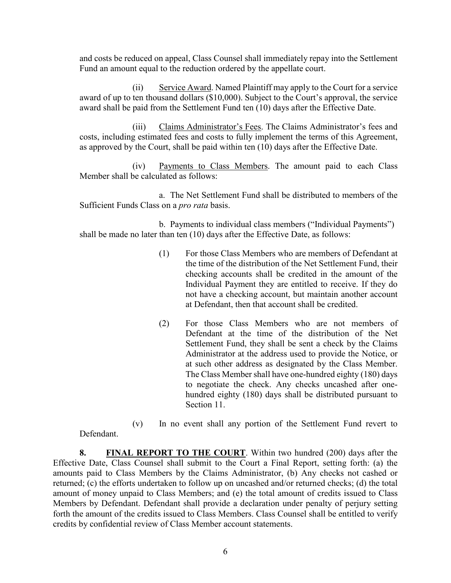and costs be reduced on appeal, Class Counsel shall immediately repay into the Settlement Fund an amount equal to the reduction ordered by the appellate court.

(ii) Service Award. Named Plaintiff may apply to the Court for a service award of up to ten thousand dollars (\$10,000). Subject to the Court's approval, the service award shall be paid from the Settlement Fund ten (10) days after the Effective Date.

(iii) Claims Administrator's Fees. The Claims Administrator's fees and costs, including estimated fees and costs to fully implement the terms of this Agreement, as approved by the Court, shall be paid within ten (10) days after the Effective Date.

(iv) Payments to Class Members. The amount paid to each Class Member shall be calculated as follows:

a. The Net Settlement Fund shall be distributed to members of the Sufficient Funds Class on a *pro rata* basis.

b. Payments to individual class members ("Individual Payments") shall be made no later than ten (10) days after the Effective Date, as follows:

- (1) For those Class Members who are members of Defendant at the time of the distribution of the Net Settlement Fund, their checking accounts shall be credited in the amount of the Individual Payment they are entitled to receive. If they do not have a checking account, but maintain another account at Defendant, then that account shall be credited.
- (2) For those Class Members who are not members of Defendant at the time of the distribution of the Net Settlement Fund, they shall be sent a check by the Claims Administrator at the address used to provide the Notice, or at such other address as designated by the Class Member. The Class Member shall have one-hundred eighty (180) days to negotiate the check. Any checks uncashed after onehundred eighty (180) days shall be distributed pursuant to Section 11.

(v) In no event shall any portion of the Settlement Fund revert to Defendant.

**8. FINAL REPORT TO THE COURT**. Within two hundred (200) days after the Effective Date, Class Counsel shall submit to the Court a Final Report, setting forth: (a) the amounts paid to Class Members by the Claims Administrator, (b) Any checks not cashed or returned; (c) the efforts undertaken to follow up on uncashed and/or returned checks; (d) the total amount of money unpaid to Class Members; and (e) the total amount of credits issued to Class Members by Defendant. Defendant shall provide a declaration under penalty of perjury setting forth the amount of the credits issued to Class Members. Class Counsel shall be entitled to verify credits by confidential review of Class Member account statements.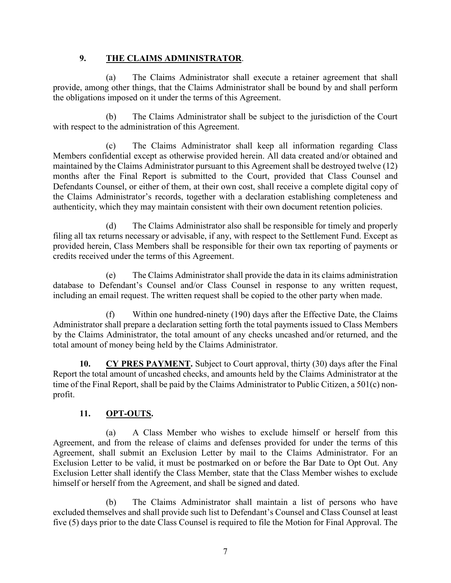#### **9. THE CLAIMS ADMINISTRATOR**.

(a) The Claims Administrator shall execute a retainer agreement that shall provide, among other things, that the Claims Administrator shall be bound by and shall perform the obligations imposed on it under the terms of this Agreement.

(b) The Claims Administrator shall be subject to the jurisdiction of the Court with respect to the administration of this Agreement.

(c) The Claims Administrator shall keep all information regarding Class Members confidential except as otherwise provided herein. All data created and/or obtained and maintained by the Claims Administrator pursuant to this Agreement shall be destroyed twelve (12) months after the Final Report is submitted to the Court, provided that Class Counsel and Defendants Counsel, or either of them, at their own cost, shall receive a complete digital copy of the Claims Administrator's records, together with a declaration establishing completeness and authenticity, which they may maintain consistent with their own document retention policies.

(d) The Claims Administrator also shall be responsible for timely and properly filing all tax returns necessary or advisable, if any, with respect to the Settlement Fund. Except as provided herein, Class Members shall be responsible for their own tax reporting of payments or credits received under the terms of this Agreement.

(e) The Claims Administrator shall provide the data in its claims administration database to Defendant's Counsel and/or Class Counsel in response to any written request, including an email request. The written request shall be copied to the other party when made.

(f) Within one hundred-ninety (190) days after the Effective Date, the Claims Administrator shall prepare a declaration setting forth the total payments issued to Class Members by the Claims Administrator, the total amount of any checks uncashed and/or returned, and the total amount of money being held by the Claims Administrator.

**10. CY PRES PAYMENT.** Subject to Court approval, thirty (30) days after the Final Report the total amount of uncashed checks, and amounts held by the Claims Administrator at the time of the Final Report, shall be paid by the Claims Administrator to Public Citizen, a 501(c) nonprofit.

## **11. OPT-OUTS.**

(a) A Class Member who wishes to exclude himself or herself from this Agreement, and from the release of claims and defenses provided for under the terms of this Agreement, shall submit an Exclusion Letter by mail to the Claims Administrator. For an Exclusion Letter to be valid, it must be postmarked on or before the Bar Date to Opt Out. Any Exclusion Letter shall identify the Class Member, state that the Class Member wishes to exclude himself or herself from the Agreement, and shall be signed and dated.

(b) The Claims Administrator shall maintain a list of persons who have excluded themselves and shall provide such list to Defendant's Counsel and Class Counsel at least five (5) days prior to the date Class Counsel is required to file the Motion for Final Approval. The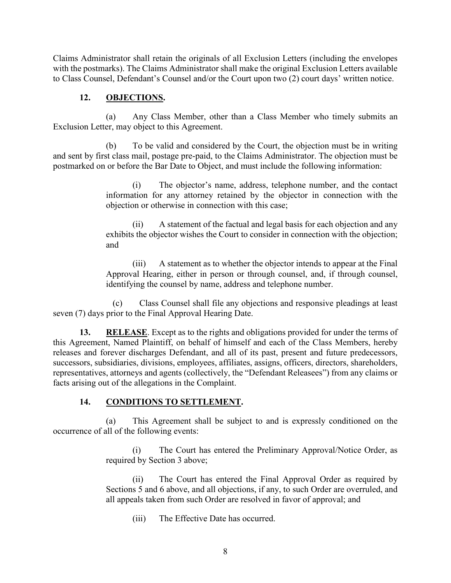Claims Administrator shall retain the originals of all Exclusion Letters (including the envelopes with the postmarks). The Claims Administrator shall make the original Exclusion Letters available to Class Counsel, Defendant's Counsel and/or the Court upon two (2) court days' written notice.

#### **12. OBJECTIONS.**

(a) Any Class Member, other than a Class Member who timely submits an Exclusion Letter, may object to this Agreement.

(b) To be valid and considered by the Court, the objection must be in writing and sent by first class mail, postage pre-paid, to the Claims Administrator. The objection must be postmarked on or before the Bar Date to Object, and must include the following information:

> (i) The objector's name, address, telephone number, and the contact information for any attorney retained by the objector in connection with the objection or otherwise in connection with this case;

> (ii) A statement of the factual and legal basis for each objection and any exhibits the objector wishes the Court to consider in connection with the objection; and

> (iii) A statement as to whether the objector intends to appear at the Final Approval Hearing, either in person or through counsel, and, if through counsel, identifying the counsel by name, address and telephone number.

(c) Class Counsel shall file any objections and responsive pleadings at least seven (7) days prior to the Final Approval Hearing Date.

**13. RELEASE**. Except as to the rights and obligations provided for under the terms of this Agreement, Named Plaintiff, on behalf of himself and each of the Class Members, hereby releases and forever discharges Defendant, and all of its past, present and future predecessors, successors, subsidiaries, divisions, employees, affiliates, assigns, officers, directors, shareholders, representatives, attorneys and agents (collectively, the "Defendant Releasees") from any claims or facts arising out of the allegations in the Complaint.

#### **14. CONDITIONS TO SETTLEMENT.**

(a) This Agreement shall be subject to and is expressly conditioned on the occurrence of all of the following events:

> (i) The Court has entered the Preliminary Approval/Notice Order, as required by Section 3 above;

> (ii) The Court has entered the Final Approval Order as required by Sections 5 and 6 above, and all objections, if any, to such Order are overruled, and all appeals taken from such Order are resolved in favor of approval; and

(iii) The Effective Date has occurred.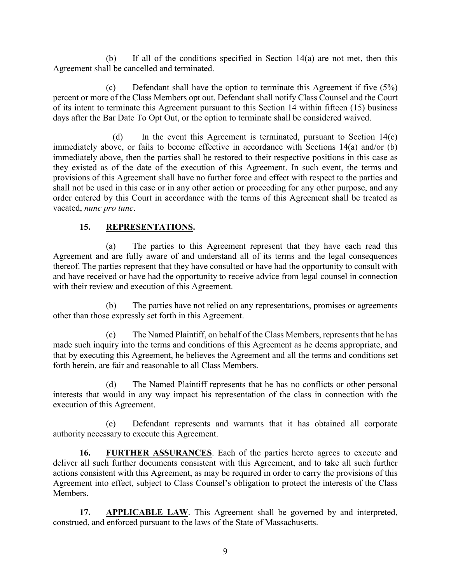(b) If all of the conditions specified in Section 14(a) are not met, then this Agreement shall be cancelled and terminated.

(c) Defendant shall have the option to terminate this Agreement if five (5%) percent or more of the Class Members opt out. Defendant shall notify Class Counsel and the Court of its intent to terminate this Agreement pursuant to this Section 14 within fifteen (15) business days after the Bar Date To Opt Out, or the option to terminate shall be considered waived.

(d) In the event this Agreement is terminated, pursuant to Section 14(c) immediately above, or fails to become effective in accordance with Sections 14(a) and/or (b) immediately above, then the parties shall be restored to their respective positions in this case as they existed as of the date of the execution of this Agreement. In such event, the terms and provisions of this Agreement shall have no further force and effect with respect to the parties and shall not be used in this case or in any other action or proceeding for any other purpose, and any order entered by this Court in accordance with the terms of this Agreement shall be treated as vacated, *nunc pro tunc*.

## **15. REPRESENTATIONS.**

(a) The parties to this Agreement represent that they have each read this Agreement and are fully aware of and understand all of its terms and the legal consequences thereof. The parties represent that they have consulted or have had the opportunity to consult with and have received or have had the opportunity to receive advice from legal counsel in connection with their review and execution of this Agreement.

(b) The parties have not relied on any representations, promises or agreements other than those expressly set forth in this Agreement.

(c) The Named Plaintiff, on behalf of the Class Members, represents that he has made such inquiry into the terms and conditions of this Agreement as he deems appropriate, and that by executing this Agreement, he believes the Agreement and all the terms and conditions set forth herein, are fair and reasonable to all Class Members.

(d) The Named Plaintiff represents that he has no conflicts or other personal interests that would in any way impact his representation of the class in connection with the execution of this Agreement.

(e) Defendant represents and warrants that it has obtained all corporate authority necessary to execute this Agreement.

**16. FURTHER ASSURANCES**. Each of the parties hereto agrees to execute and deliver all such further documents consistent with this Agreement, and to take all such further actions consistent with this Agreement, as may be required in order to carry the provisions of this Agreement into effect, subject to Class Counsel's obligation to protect the interests of the Class Members.

17. **APPLICABLE LAW**. This Agreement shall be governed by and interpreted, construed, and enforced pursuant to the laws of the State of Massachusetts.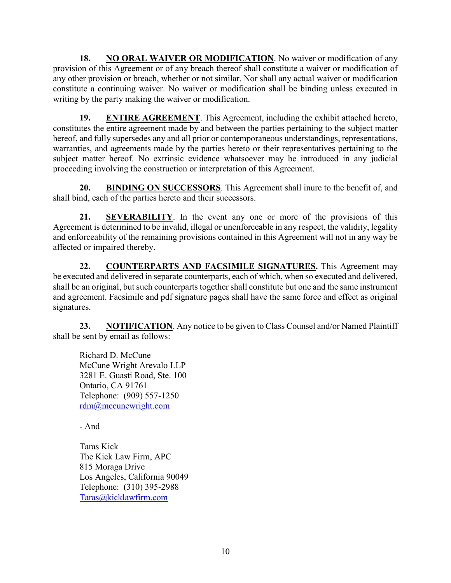**18.** NO ORAL WAIVER OR MODIFICATION. No waiver or modification of any provision of this Agreement or of any breach thereof shall constitute a waiver or modification of any other provision or breach, whether or not similar. Nor shall any actual waiver or modification constitute a continuing waiver. No waiver or modification shall be binding unless executed in writing by the party making the waiver or modification.

**19. ENTIRE AGREEMENT**. This Agreement, including the exhibit attached hereto, constitutes the entire agreement made by and between the parties pertaining to the subject matter hereof, and fully supersedes any and all prior or contemporaneous understandings, representations, warranties, and agreements made by the parties hereto or their representatives pertaining to the subject matter hereof. No extrinsic evidence whatsoever may be introduced in any judicial proceeding involving the construction or interpretation of this Agreement.

**20. BINDING ON SUCCESSORS**. This Agreement shall inure to the benefit of, and shall bind, each of the parties hereto and their successors.

**21. SEVERABILITY**. In the event any one or more of the provisions of this Agreement is determined to be invalid, illegal or unenforceable in any respect, the validity, legality and enforceability of the remaining provisions contained in this Agreement will not in any way be affected or impaired thereby.

**22. COUNTERPARTS AND FACSIMILE SIGNATURES.** This Agreement may be executed and delivered in separate counterparts, each of which, when so executed and delivered, shall be an original, but such counterparts together shall constitute but one and the same instrument and agreement. Facsimile and pdf signature pages shall have the same force and effect as original signatures.

**23. NOTIFICATION**. Any notice to be given to Class Counsel and/or Named Plaintiff shall be sent by email as follows:

Richard D. McCune McCune Wright Arevalo LLP 3281 E. Guasti Road, Ste. 100 Ontario, CA 91761 Telephone: (909) 557-1250 [rdm@mccunewright.com](mailto:rdm@mccunewright.com)

 $- And -$ 

Taras Kick The Kick Law Firm, APC 815 Moraga Drive Los Angeles, California 90049 Telephone: (310) 395-2988 [Taras@kicklawfirm.com](mailto:Taras@kicklawfirm.com)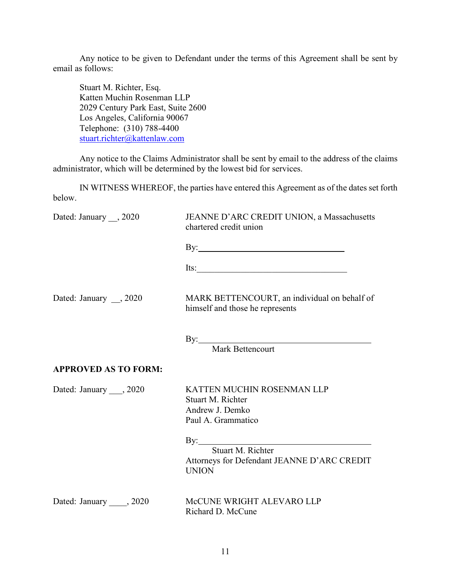Any notice to be given to Defendant under the terms of this Agreement shall be sent by email as follows:

Stuart M. Richter, Esq. Katten Muchin Rosenman LLP 2029 Century Park East, Suite 2600 Los Angeles, California 90067 Telephone: (310) 788-4400 [stuart.richter@kattenlaw.com](mailto:stuart.richter@kattenlaw.com)

Any notice to the Claims Administrator shall be sent by email to the address of the claims administrator, which will be determined by the lowest bid for services.

IN WITNESS WHEREOF, the parties have entered this Agreement as of the dates set forth below.

| Dated: January , 2020       | JEANNE D'ARC CREDIT UNION, a Massachusetts<br>chartered credit union                                    |
|-----------------------------|---------------------------------------------------------------------------------------------------------|
|                             |                                                                                                         |
|                             | Its: $\frac{1}{\sqrt{1-\frac{1}{2}}\left(\frac{1}{2}-\frac{1}{2}\right)}$                               |
| Dated: January __, 2020     | MARK BETTENCOURT, an individual on behalf of<br>himself and those he represents                         |
|                             | Mark Bettencourt                                                                                        |
| <b>APPROVED AS TO FORM:</b> |                                                                                                         |
| Dated: January , 2020       | KATTEN MUCHIN ROSENMAN LLP<br>Stuart M. Richter<br>Andrew J. Demko<br>Paul A. Grammatico                |
|                             | By: $\qquad \qquad$<br>Stuart M. Richter<br>Attorneys for Defendant JEANNE D'ARC CREDIT<br><b>UNION</b> |
| Dated: January _____, 2020  | McCUNE WRIGHT ALEVARO LLP<br>Richard D. McCune                                                          |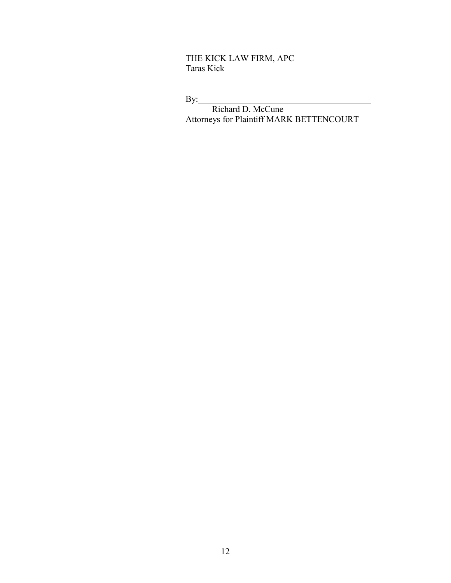THE KICK LAW FIRM, APC Taras Kick

By:

Richard D. McCune Attorneys for Plaintiff MARK BETTENCOURT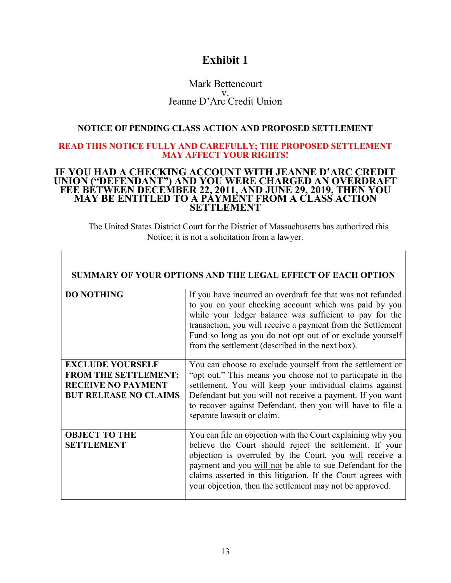## **Exhibit 1**

#### Mark Bettencourt v. Jeanne D'Arc Credit Union

#### **NOTICE OF PENDING CLASS ACTION AND PROPOSED SETTLEMENT**

#### **READ THIS NOTICE FULLY AND CAREFULLY; THE PROPOSED SETTLEMENT MAY AFFECT YOUR RIGHTS!**

#### **IF YOU HAD A CHECKING ACCOUNT WITH JEANNE D'ARC CREDIT UNION ("DEFENDANT") AND YOU WERE CHARGED AN OVERDRAFT FEE BETWEEN DECEMBER 22, 2011, AND JUNE 29, 2019, THEN YOU MAY BE ENTITLED TO A PAYMENT FROM A CLASS ACTION SETTLEMENT**

The United States District Court for the District of Massachusetts has authorized this Notice; it is not a solicitation from a lawyer.

|                                                                                                                     | <b>SUMMARY OF YOUR OPTIONS AND THE LEGAL EFFECT OF EACH OPTION</b>                                                                                                                                                                                                                                                                                                         |
|---------------------------------------------------------------------------------------------------------------------|----------------------------------------------------------------------------------------------------------------------------------------------------------------------------------------------------------------------------------------------------------------------------------------------------------------------------------------------------------------------------|
| <b>DO NOTHING</b>                                                                                                   | If you have incurred an overdraft fee that was not refunded<br>to you on your checking account which was paid by you<br>while your ledger balance was sufficient to pay for the<br>transaction, you will receive a payment from the Settlement<br>Fund so long as you do not opt out of or exclude yourself<br>from the settlement (described in the next box).            |
| <b>EXCLUDE YOURSELF</b><br><b>FROM THE SETTLEMENT;</b><br><b>RECEIVE NO PAYMENT</b><br><b>BUT RELEASE NO CLAIMS</b> | You can choose to exclude yourself from the settlement or<br>"opt out." This means you choose not to participate in the<br>settlement. You will keep your individual claims against<br>Defendant but you will not receive a payment. If you want<br>to recover against Defendant, then you will have to file a<br>separate lawsuit or claim.                               |
| <b>OBJECT TO THE</b><br><b>SETTLEMENT</b>                                                                           | You can file an objection with the Court explaining why you<br>believe the Court should reject the settlement. If your<br>objection is overruled by the Court, you will receive a<br>payment and you will not be able to sue Defendant for the<br>claims asserted in this litigation. If the Court agrees with<br>your objection, then the settlement may not be approved. |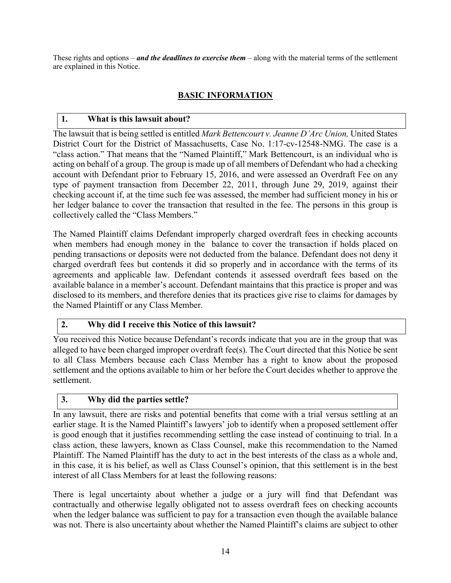These rights and options – *and the deadlines to exercise them* – along with the material terms of the settlement are explained in this Notice.

## **BASIC INFORMATION**

## **1. What is this lawsuit about?**

The lawsuit that is being settled is entitled *Mark Bettencourt v. Jeanne D'Arc Union,* United States District Court for the District of Massachusetts, Case No. 1:17-cv-12548-NMG. The case is a "class action." That means that the "Named Plaintiff," Mark Bettencourt, is an individual who is acting on behalf of a group. The group is made up of all members of Defendant who had a checking account with Defendant prior to February 15, 2016, and were assessed an Overdraft Fee on any type of payment transaction from December 22, 2011, through June 29, 2019, against their checking account if, at the time such fee was assessed, the member had sufficient money in his or her ledger balance to cover the transaction that resulted in the fee. The persons in this group is collectively called the "Class Members."

The Named Plaintiff claims Defendant improperly charged overdraft fees in checking accounts when members had enough money in the balance to cover the transaction if holds placed on pending transactions or deposits were not deducted from the balance. Defendant does not deny it charged overdraft fees but contends it did so properly and in accordance with the terms of its agreements and applicable law. Defendant contends it assessed overdraft fees based on the available balance in a member's account. Defendant maintains that this practice is proper and was disclosed to its members, and therefore denies that its practices give rise to claims for damages by the Named Plaintiff or any Class Member.

#### **2. Why did I receive this Notice of this lawsuit?**

You received this Notice because Defendant's records indicate that you are in the group that was alleged to have been charged improper overdraft fee(s). The Court directed that this Notice be sent to all Class Members because each Class Member has a right to know about the proposed settlement and the options available to him or her before the Court decides whether to approve the settlement.

#### **3. Why did the parties settle?**

In any lawsuit, there are risks and potential benefits that come with a trial versus settling at an earlier stage. It is the Named Plaintiff's lawyers' job to identify when a proposed settlement offer is good enough that it justifies recommending settling the case instead of continuing to trial. In a class action, these lawyers, known as Class Counsel, make this recommendation to the Named Plaintiff. The Named Plaintiff has the duty to act in the best interests of the class as a whole and, in this case, it is his belief, as well as Class Counsel's opinion, that this settlement is in the best interest of all Class Members for at least the following reasons:

There is legal uncertainty about whether a judge or a jury will find that Defendant was contractually and otherwise legally obligated not to assess overdraft fees on checking accounts when the ledger balance was sufficient to pay for a transaction even though the available balance was not. There is also uncertainty about whether the Named Plaintiff's claims are subject to other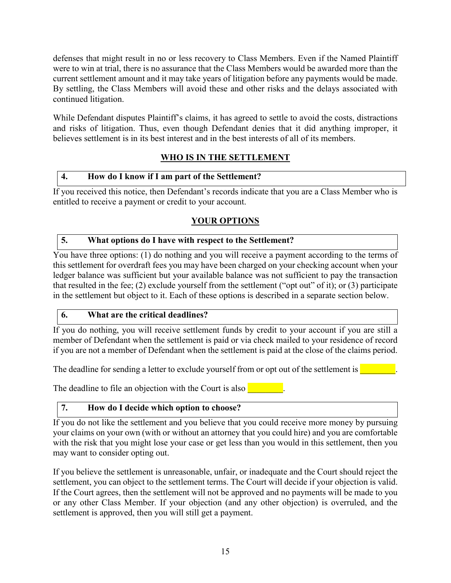defenses that might result in no or less recovery to Class Members. Even if the Named Plaintiff were to win at trial, there is no assurance that the Class Members would be awarded more than the current settlement amount and it may take years of litigation before any payments would be made. By settling, the Class Members will avoid these and other risks and the delays associated with continued litigation.

While Defendant disputes Plaintiff's claims, it has agreed to settle to avoid the costs, distractions and risks of litigation. Thus, even though Defendant denies that it did anything improper, it believes settlement is in its best interest and in the best interests of all of its members.

## **WHO IS IN THE SETTLEMENT**

## **4. How do I know if I am part of the Settlement?**

If you received this notice, then Defendant's records indicate that you are a Class Member who is entitled to receive a payment or credit to your account.

## **YOUR OPTIONS**

## **5. What options do I have with respect to the Settlement?**

You have three options: (1) do nothing and you will receive a payment according to the terms of this settlement for overdraft fees you may have been charged on your checking account when your ledger balance was sufficient but your available balance was not sufficient to pay the transaction that resulted in the fee; (2) exclude yourself from the settlement ("opt out" of it); or (3) participate in the settlement but object to it. Each of these options is described in a separate section below.

## **6. What are the critical deadlines?**

If you do nothing, you will receive settlement funds by credit to your account if you are still a member of Defendant when the settlement is paid or via check mailed to your residence of record if you are not a member of Defendant when the settlement is paid at the close of the claims period.

The deadline for sending a letter to exclude yourself from or opt out of the settlement is **Theory** 

The deadline to file an objection with the Court is also  $\blacksquare$ 

## **7. How do I decide which option to choose?**

If you do not like the settlement and you believe that you could receive more money by pursuing your claims on your own (with or without an attorney that you could hire) and you are comfortable with the risk that you might lose your case or get less than you would in this settlement, then you may want to consider opting out.

If you believe the settlement is unreasonable, unfair, or inadequate and the Court should reject the settlement, you can object to the settlement terms. The Court will decide if your objection is valid. If the Court agrees, then the settlement will not be approved and no payments will be made to you or any other Class Member. If your objection (and any other objection) is overruled, and the settlement is approved, then you will still get a payment.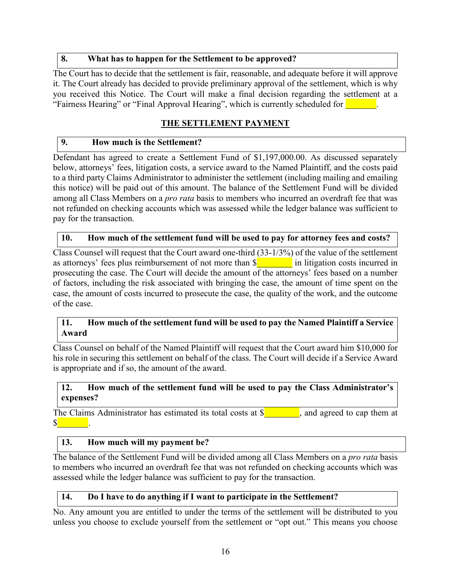#### **8. What has to happen for the Settlement to be approved?**

The Court has to decide that the settlement is fair, reasonable, and adequate before it will approve it. The Court already has decided to provide preliminary approval of the settlement, which is why you received this Notice. The Court will make a final decision regarding the settlement at a "Fairness Hearing" or "Final Approval Hearing", which is currently scheduled for **Fig. 1.** 

## **THE SETTLEMENT PAYMENT**

#### **9. How much is the Settlement?**

Defendant has agreed to create a Settlement Fund of \$1,197,000.00. As discussed separately below, attorneys' fees, litigation costs, a service award to the Named Plaintiff, and the costs paid to a third party Claims Administrator to administer the settlement (including mailing and emailing this notice) will be paid out of this amount. The balance of the Settlement Fund will be divided among all Class Members on a *pro rata* basis to members who incurred an overdraft fee that was not refunded on checking accounts which was assessed while the ledger balance was sufficient to pay for the transaction.

#### **10. How much of the settlement fund will be used to pay for attorney fees and costs?**

Class Counsel will request that the Court award one-third (33-1/3%) of the value of the settlement as attorneys' fees plus reimbursement of not more than  $\frac{1}{2}$  in litigation costs incurred in prosecuting the case. The Court will decide the amount of the attorneys' fees based on a number of factors, including the risk associated with bringing the case, the amount of time spent on the case, the amount of costs incurred to prosecute the case, the quality of the work, and the outcome of the case.

#### **11. How much of the settlement fund will be used to pay the Named Plaintiff a Service Award**

Class Counsel on behalf of the Named Plaintiff will request that the Court award him \$10,000 for his role in securing this settlement on behalf of the class. The Court will decide if a Service Award is appropriate and if so, the amount of the award.

#### **12. How much of the settlement fund will be used to pay the Class Administrator's expenses?**

The Claims Administrator has estimated its total costs at  $\frac{1}{2}$ , and agreed to cap them at  $\mathbb{S}$   $\qquad \qquad$  .

#### **13. How much will my payment be?**

The balance of the Settlement Fund will be divided among all Class Members on a *pro rata* basis to members who incurred an overdraft fee that was not refunded on checking accounts which was assessed while the ledger balance was sufficient to pay for the transaction.

#### **14. Do I have to do anything if I want to participate in the Settlement?**

No. Any amount you are entitled to under the terms of the settlement will be distributed to you unless you choose to exclude yourself from the settlement or "opt out." This means you choose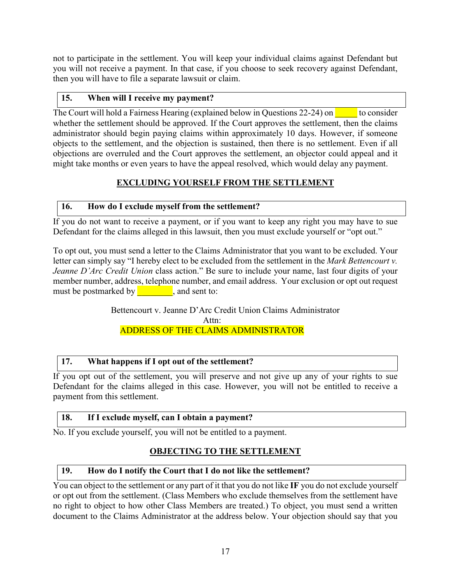not to participate in the settlement. You will keep your individual claims against Defendant but you will not receive a payment. In that case, if you choose to seek recovery against Defendant, then you will have to file a separate lawsuit or claim.

## **15. When will I receive my payment?**

The Court will hold a Fairness Hearing (explained below in Questions 22-24) on  $\sim$  to consider whether the settlement should be approved. If the Court approves the settlement, then the claims administrator should begin paying claims within approximately 10 days. However, if someone objects to the settlement, and the objection is sustained, then there is no settlement. Even if all objections are overruled and the Court approves the settlement, an objector could appeal and it might take months or even years to have the appeal resolved, which would delay any payment.

## **EXCLUDING YOURSELF FROM THE SETTLEMENT**

## **16. How do I exclude myself from the settlement?**

If you do not want to receive a payment, or if you want to keep any right you may have to sue Defendant for the claims alleged in this lawsuit, then you must exclude yourself or "opt out."

To opt out, you must send a letter to the Claims Administrator that you want to be excluded. Your letter can simply say "I hereby elect to be excluded from the settlement in the *Mark Bettencourt v. Jeanne D'Arc Credit Union* class action." Be sure to include your name, last four digits of your member number, address, telephone number, and email address. Your exclusion or opt out request must be postmarked by  $\qquad \qquad$ , and sent to:

> Bettencourt v. Jeanne D'Arc Credit Union Claims Administrator Attn: ADDRESS OF THE CLAIMS ADMINISTRATOR

## **17. What happens if I opt out of the settlement?**

If you opt out of the settlement, you will preserve and not give up any of your rights to sue Defendant for the claims alleged in this case. However, you will not be entitled to receive a payment from this settlement.

#### **18. If I exclude myself, can I obtain a payment?**

No. If you exclude yourself, you will not be entitled to a payment.

## **OBJECTING TO THE SETTLEMENT**

#### **19. How do I notify the Court that I do not like the settlement?**

You can object to the settlement or any part of it that you do not like **IF** you do not exclude yourself or opt out from the settlement. (Class Members who exclude themselves from the settlement have no right to object to how other Class Members are treated.) To object, you must send a written document to the Claims Administrator at the address below. Your objection should say that you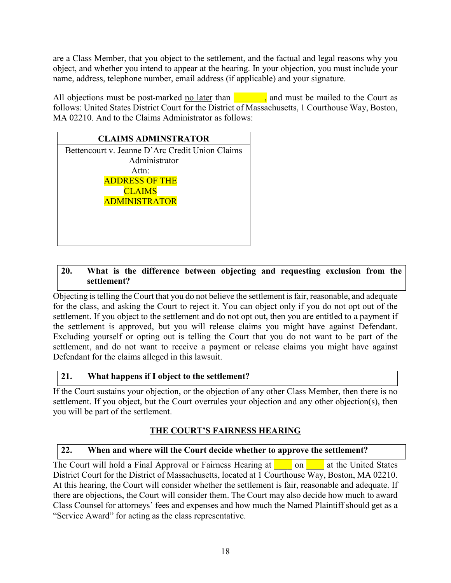are a Class Member, that you object to the settlement, and the factual and legal reasons why you object, and whether you intend to appear at the hearing. In your objection, you must include your name, address, telephone number, email address (if applicable) and your signature.

All objections must be post-marked <u>no later</u> than  $\Box$ , and must be mailed to the Court as follows: United States District Court for the District of Massachusetts, 1 Courthouse Way, Boston, MA 02210. And to the Claims Administrator as follows:

| <b>CLAIMS ADMINSTRATOR</b>                      |  |  |
|-------------------------------------------------|--|--|
| Bettencourt v. Jeanne D'Arc Credit Union Claims |  |  |
| Administrator                                   |  |  |
| Attn:                                           |  |  |
| <b>ADDRESS OF THE</b>                           |  |  |
| <b>CLAIMS</b>                                   |  |  |
| <b>ADMINISTRATOR</b>                            |  |  |
|                                                 |  |  |
|                                                 |  |  |
|                                                 |  |  |
|                                                 |  |  |

## **20. What is the difference between objecting and requesting exclusion from the settlement?**

Objecting is telling the Court that you do not believe the settlement is fair, reasonable, and adequate for the class, and asking the Court to reject it. You can object only if you do not opt out of the settlement. If you object to the settlement and do not opt out, then you are entitled to a payment if the settlement is approved, but you will release claims you might have against Defendant. Excluding yourself or opting out is telling the Court that you do not want to be part of the settlement, and do not want to receive a payment or release claims you might have against Defendant for the claims alleged in this lawsuit.

## **21. What happens if I object to the settlement?**

If the Court sustains your objection, or the objection of any other Class Member, then there is no settlement. If you object, but the Court overrules your objection and any other objection(s), then you will be part of the settlement.

## **THE COURT'S FAIRNESS HEARING**

#### **22. When and where will the Court decide whether to approve the settlement?**

The Court will hold a Final Approval or Fairness Hearing at **Quality 1** on **All a**t the United States District Court for the District of Massachusetts, located at 1 Courthouse Way, Boston, MA 02210. At this hearing, the Court will consider whether the settlement is fair, reasonable and adequate. If there are objections, the Court will consider them. The Court may also decide how much to award Class Counsel for attorneys' fees and expenses and how much the Named Plaintiff should get as a "Service Award" for acting as the class representative.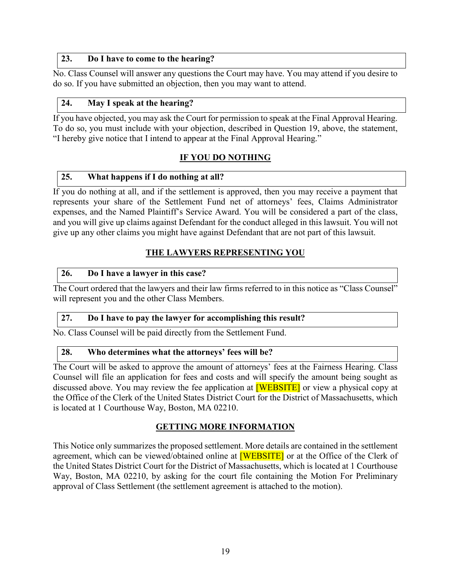#### **23. Do I have to come to the hearing?**

No. Class Counsel will answer any questions the Court may have. You may attend if you desire to do so. If you have submitted an objection, then you may want to attend.

#### **24. May I speak at the hearing?**

If you have objected, you may ask the Court for permission to speak at the Final Approval Hearing. To do so, you must include with your objection, described in Question 19, above, the statement, "I hereby give notice that I intend to appear at the Final Approval Hearing."

## **IF YOU DO NOTHING**

#### **25. What happens if I do nothing at all?**

If you do nothing at all, and if the settlement is approved, then you may receive a payment that represents your share of the Settlement Fund net of attorneys' fees, Claims Administrator expenses, and the Named Plaintiff's Service Award. You will be considered a part of the class, and you will give up claims against Defendant for the conduct alleged in this lawsuit. You will not give up any other claims you might have against Defendant that are not part of this lawsuit.

## **THE LAWYERS REPRESENTING YOU**

#### **26. Do I have a lawyer in this case?**

The Court ordered that the lawyers and their law firms referred to in this notice as "Class Counsel" will represent you and the other Class Members.

#### **27. Do I have to pay the lawyer for accomplishing this result?**

No. Class Counsel will be paid directly from the Settlement Fund.

#### **28. Who determines what the attorneys' fees will be?**

The Court will be asked to approve the amount of attorneys' fees at the Fairness Hearing. Class Counsel will file an application for fees and costs and will specify the amount being sought as discussed above. You may review the fee application at **[WEBSITE]** or view a physical copy at the Office of the Clerk of the United States District Court for the District of Massachusetts, which is located at 1 Courthouse Way, Boston, MA 02210.

#### **GETTING MORE INFORMATION**

This Notice only summarizes the proposed settlement. More details are contained in the settlement agreement, which can be viewed/obtained online at **[WEBSITE]** or at the Office of the Clerk of the United States District Court for the District of Massachusetts, which is located at 1 Courthouse Way, Boston, MA 02210, by asking for the court file containing the Motion For Preliminary approval of Class Settlement (the settlement agreement is attached to the motion).